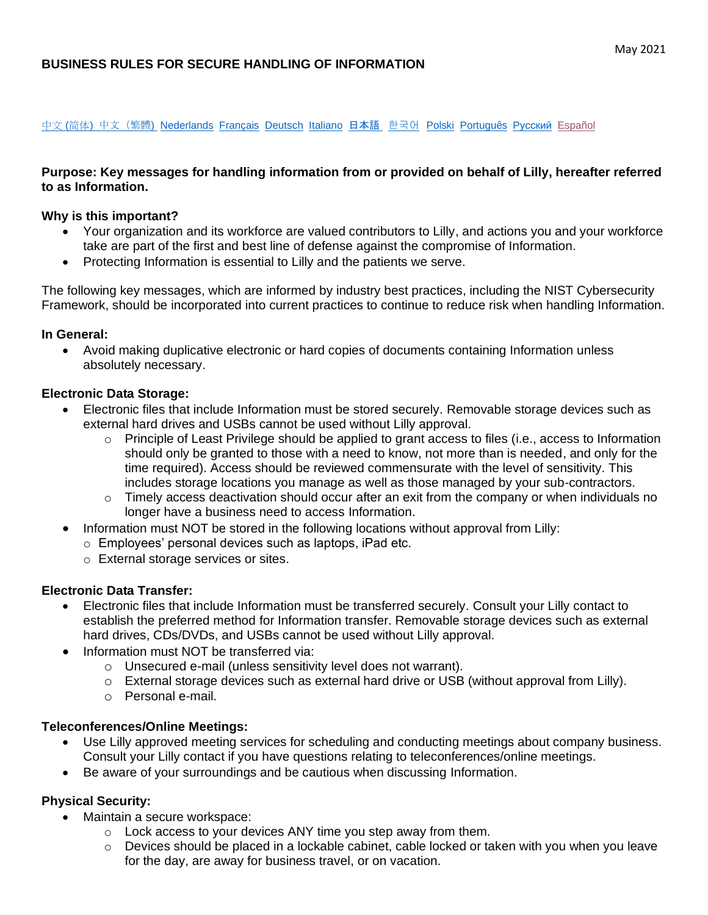# **BUSINESS RULES FOR SECURE HANDLING OF INFORMATION**

[中文](https://assets.ctfassets.net/srys4ukjcerm/52IgzQVxbIFh5XdaXe6LRg/518acc966501a66b6e21486737d08115/Business_Rules_for_Secure_Handling_of_Information_final_zh-cn.pdf) (简体[\)](https://assets.ctfassets.net/srys4ukjcerm/1Uq64H9TLZA65e3Badq4Di/71bf92bccfb6b1f8cd98dd6e50bbb85f/Business_Rules_for_Secure_Handling_of_Information_final_zh-tw.pdf) 中文 (繁體) [Nederlands](https://assets.ctfassets.net/srys4ukjcerm/1fOkhrXwvizoXHUArhy3Mc/658c62011b3e760f87cca8a399630d39/Business_Rules_for_Secure_Handling_of_Information_final_nl-nl.pdf) [Français](https://assets.ctfassets.net/srys4ukjcerm/5a6a31UQ56H9uu8psywNFt/ce4db0f772f58b247b9869aeee7dd7e8/Business_Rules_for_Secure_Handling_of_Information_final_fr-fr.pdf) [Deutsch](https://assets.ctfassets.net/srys4ukjcerm/d29vtPGCn84EfZxslXXoC/e2bb2347719c59ec296256d080df0fc9/Business_Rules_for_Secure_Handling_of_Information_final_de-de.pdf) [Italiano](https://assets.ctfassets.net/srys4ukjcerm/5CDHdJhwsrmeBIPnXsLMUE/e32ed777ae684370f4cf29dd99501c23/Business_Rules_for_Secure_Handling_of_Information_final_it-it.pdf) [日本語](https://assets.ctfassets.net/srys4ukjcerm/2s1d2PfRdf0c2Co32QvkCE/01071abb1f8c1fe49b174dda98f3d9a5/Business_Rules_for_Secure_Handling_of_Information_final_ja-jp.pdf) [한국어](https://assets.ctfassets.net/srys4ukjcerm/4ZkxI4xqZrU1hLDXuAFl01/0a2ac5f7de1f94355564ff45ecf85065/Business_Rules_for_Secure_Handling_of_Information_final_ko-kr.pdf) [Polski](https://assets.ctfassets.net/srys4ukjcerm/4kXlKQZhdhWVO8VZSSDtoD/6187b5a8110ae4a5aa696b10e96eb485/Business_Rules_for_Secure_Handling_of_Information_final_pl-pl.pdf) [Português](https://assets.ctfassets.net/srys4ukjcerm/39u5M29LgT9EWlNIyUQ590/5efd087e4f6cfcc5bdc4b2b50980c77f/Business_Rules_for_Secure_Handling_of_Information_final_pt-br.pdf) Русский [Español](https://assets.ctfassets.net/srys4ukjcerm/4m1sq3EWr2NWXkkqNip0R0/22257a6ffed2e38a5031583788aee08d/Business_Rules_for_Secure_Handling_of_Information_final_es-mx__1_.pdf)

### **Purpose: Key messages for handling information from or provided on behalf of Lilly, hereafter referred to as Information.**

#### **Why is this important?**

- Your organization and its workforce are valued contributors to Lilly, and actions you and your workforce take are part of the first and best line of defense against the compromise of Information.
- Protecting Information is essential to Lilly and the patients we serve.

The following key messages, which are informed by industry best practices, including the NIST Cybersecurity Framework, should be incorporated into current practices to continue to reduce risk when handling Information.

#### **In General:**

• Avoid making duplicative electronic or hard copies of documents containing Information unless absolutely necessary.

### **Electronic Data Storage:**

- Electronic files that include Information must be stored securely. Removable storage devices such as external hard drives and USBs cannot be used without Lilly approval.
	- o Principle of Least Privilege should be applied to grant access to files (i.e., access to Information should only be granted to those with a need to know, not more than is needed, and only for the time required). Access should be reviewed commensurate with the level of sensitivity. This includes storage locations you manage as well as those managed by your sub-contractors.
	- o Timely access deactivation should occur after an exit from the company or when individuals no longer have a business need to access Information.
	- Information must NOT be stored in the following locations without approval from Lilly:
		- o Employees' personal devices such as laptops, iPad etc.
		- o External storage services or sites.

# **Electronic Data Transfer:**

- Electronic files that include Information must be transferred securely. Consult your Lilly contact to establish the preferred method for Information transfer. Removable storage devices such as external hard drives, CDs/DVDs, and USBs cannot be used without Lilly approval.
- Information must NOT be transferred via:
	- o Unsecured e-mail (unless sensitivity level does not warrant).
	- $\circ$  External storage devices such as external hard drive or USB (without approval from Lilly).
	- o Personal e-mail.

### **Teleconferences/Online Meetings:**

- Use Lilly approved meeting services for scheduling and conducting meetings about company business. Consult your Lilly contact if you have questions relating to teleconferences/online meetings.
- Be aware of your surroundings and be cautious when discussing Information.

# **Physical Security:**

- Maintain a secure workspace:
	- o Lock access to your devices ANY time you step away from them.
	- $\circ$  Devices should be placed in a lockable cabinet, cable locked or taken with you when you leave for the day, are away for business travel, or on vacation.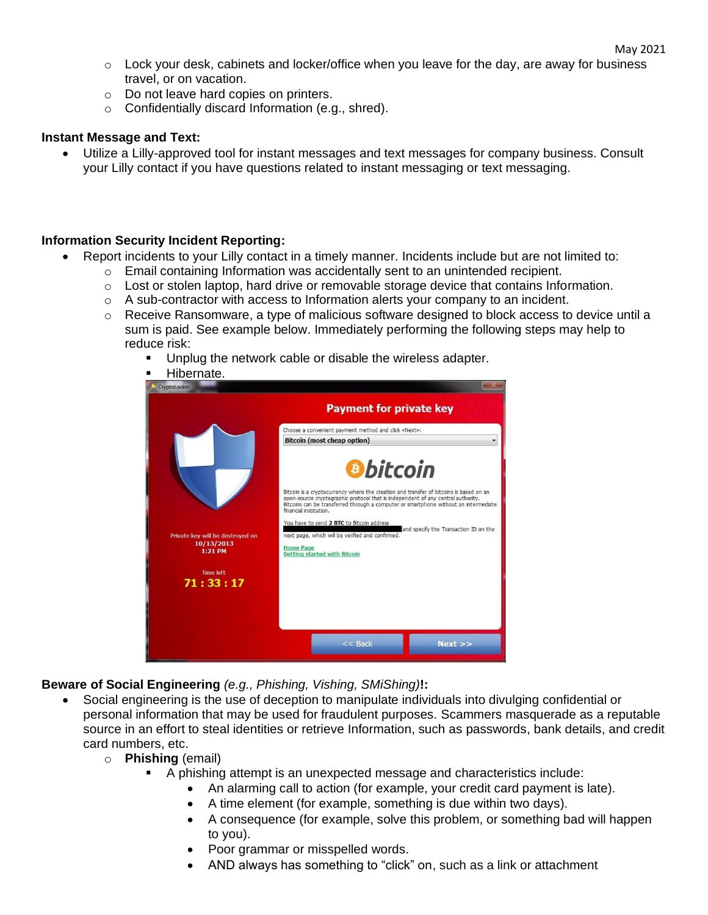- $\circ$  Lock your desk, cabinets and locker/office when you leave for the day, are away for business travel, or on vacation.
- o Do not leave hard copies on printers.
- o Confidentially discard Information (e.g., shred).

### **Instant Message and Text:**

• Utilize a Lilly-approved tool for instant messages and text messages for company business. Consult your Lilly contact if you have questions related to instant messaging or text messaging.

### **Information Security Incident Reporting:**

- Report incidents to your Lilly contact in a timely manner. Incidents include but are not limited to:
	- $\circ$  Email containing Information was accidentally sent to an unintended recipient.
	- o Lost or stolen laptop, hard drive or removable storage device that contains Information.
	- $\circ$  A sub-contractor with access to Information alerts your company to an incident.
	- $\circ$  Receive Ransomware, a type of malicious software designed to block access to device until a sum is paid. See example below. Immediately performing the following steps may help to reduce risk:
		- Unplug the network cable or disable the wireless adapter.
		- **Executed Hibernate. Payment for private key** Choose a convenient payment method and click «Next»: **Bitcoin (most cheap option)** bitcoin Bitcoin is a cryptocurrency where the creation and transfer of bitcoins is based on an<br>open-source cryptographic protocol that is independent of any central authority.<br>Bitcoins can be transferred through a computer or smar financial institution. You have to send 2 BTC to Bitcoin address and specify the Transaction ID on the next page, which will be verified and confirmed. 10/13/2013 <u>iome Page</u><br>Setting started with Bitcoin 1:21 PM **Time left** 71:33:17  $<<$  Back  $Next$

**Beware of Social Engineering** *(e.g., Phishing, Vishing, SMiShing)***!:**

- Social engineering is the use of deception to manipulate individuals into divulging confidential or personal information that may be used for fraudulent purposes. Scammers masquerade as a reputable source in an effort to steal identities or retrieve Information, such as passwords, bank details, and credit card numbers, etc.
	- o **Phishing** (email)
		- A phishing attempt is an unexpected message and characteristics include:
			- An alarming call to action (for example, your credit card payment is late).
			- A time element (for example, something is due within two days).
			- A consequence (for example, solve this problem, or something bad will happen to you).
			- Poor grammar or misspelled words.
			- AND always has something to "click" on, such as a link or attachment